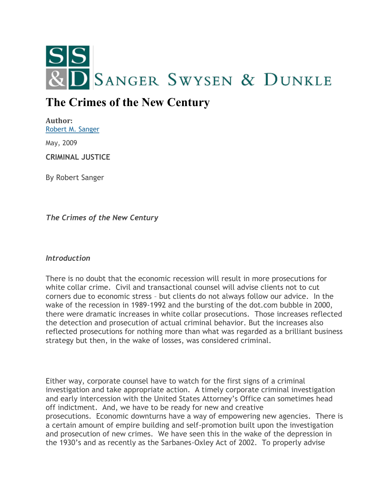

# **The Crimes of the New Century**

**Author:** [Robert M. Sanger](http://sangerswysen.com/robert-m-sanger)

May, 2009

**CRIMINAL JUSTICE**

By Robert Sanger

*The Crimes of the New Century*

#### *Introduction*

There is no doubt that the economic recession will result in more prosecutions for white collar crime. Civil and transactional counsel will advise clients not to cut corners due to economic stress – but clients do not always follow our advice. In the wake of the recession in 1989-1992 and the bursting of the dot.com bubble in 2000, there were dramatic increases in white collar prosecutions. Those increases reflected the detection and prosecution of actual criminal behavior. But the increases also reflected prosecutions for nothing more than what was regarded as a brilliant business strategy but then, in the wake of losses, was considered criminal.

Either way, corporate counsel have to watch for the first signs of a criminal investigation and take appropriate action. A timely corporate criminal investigation and early intercession with the United States Attorney's Office can sometimes head off indictment. And, we have to be ready for new and creative prosecutions. Economic downturns have a way of empowering new agencies. There is a certain amount of empire building and self-promotion built upon the investigation and prosecution of new crimes. We have seen this in the wake of the depression in the 1930's and as recently as the Sarbanes-Oxley Act of 2002. To properly advise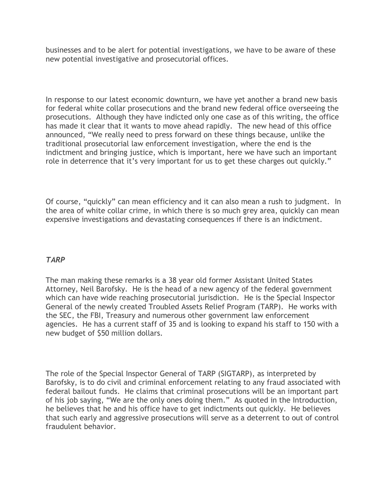businesses and to be alert for potential investigations, we have to be aware of these new potential investigative and prosecutorial offices.

In response to our latest economic downturn, we have yet another a brand new basis for federal white collar prosecutions and the brand new federal office overseeing the prosecutions. Although they have indicted only one case as of this writing, the office has made it clear that it wants to move ahead rapidly. The new head of this office announced, "We really need to press forward on these things because, unlike the traditional prosecutorial law enforcement investigation, where the end is the indictment and bringing justice, which is important, here we have such an important role in deterrence that it's very important for us to get these charges out quickly."

Of course, "quickly" can mean efficiency and it can also mean a rush to judgment. In the area of white collar crime, in which there is so much grey area, quickly can mean expensive investigations and devastating consequences if there is an indictment.

#### *TARP*

The man making these remarks is a 38 year old former Assistant United States Attorney, Neil Barofsky. He is the head of a new agency of the federal government which can have wide reaching prosecutorial jurisdiction. He is the Special Inspector General of the newly created Troubled Assets Relief Program (TARP). He works with the SEC, the FBI, Treasury and numerous other government law enforcement agencies. He has a current staff of 35 and is looking to expand his staff to 150 with a new budget of \$50 million dollars.

The role of the Special Inspector General of TARP (SIGTARP), as interpreted by Barofsky, is to do civil and criminal enforcement relating to any fraud associated with federal bailout funds. He claims that criminal prosecutions will be an important part of his job saying, "We are the only ones doing them." As quoted in the Introduction, he believes that he and his office have to get indictments out quickly. He believes that such early and aggressive prosecutions will serve as a deterrent to out of control fraudulent behavior.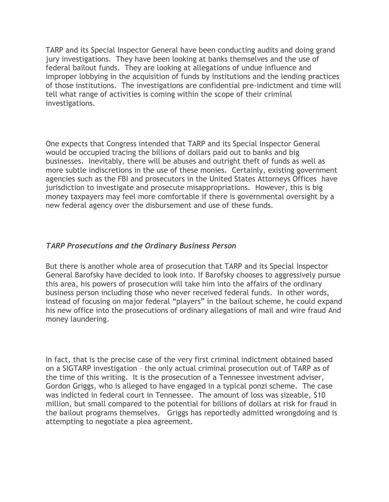TARP and its Special Inspector General have been conducting audits and doing grand jury investigations. They have been looking at banks themselves and the use of federal bailout funds. They are looking at allegations of undue influence and improper lobbying in the acquisition of funds by institutions and the lending practices of those institutions. The investigations are confidential pre-indictment and time will tell what range of activities is coming within the scope of their criminal investigations.

One expects that Congress intended that TARP and its Special Inspector General would be occupied tracing the billions of dollars paid out to banks and big businesses. Inevitably, there will be abuses and outright theft of funds as well as more subtle indiscretions in the use of these monies. Certainly, existing government agencies such as the FBI and prosecutors in the United States Attorneys Offices have jurisdiction to investigate and prosecute misappropriations. However, this is big money taxpayers may feel more comfortable if there is governmental oversight by a new federal agency over the disbursement and use of these funds.

## *TARP Prosecutions and the Ordinary Business Person*

But there is another whole area of prosecution that TARP and its Special Inspector General Barofsky have decided to look into. If Barofsky chooses to aggressively pursue this area, his powers of prosecution will take him into the affairs of the ordinary business person including those who never received federal funds. In other words, instead of focusing on major federal "players" in the bailout scheme, he could expand his new office into the prosecutions of ordinary allegations of mail and wire fraud And money laundering.

In fact, that is the precise case of the very first criminal indictment obtained based on a SIGTARP investigation – the only actual criminal prosecution out of TARP as of the time of this writing. It is the prosecution of a Tennessee investment adviser, Gordon Griggs, who is alleged to have engaged in a typical ponzi scheme. The case was indicted in federal court in Tennessee. The amount of loss was sizeable, \$10 million, but small compared to the potential for billions of dollars at risk for fraud in the bailout programs themselves. Griggs has reportedly admitted wrongdoing and is attempting to negotiate a plea agreement.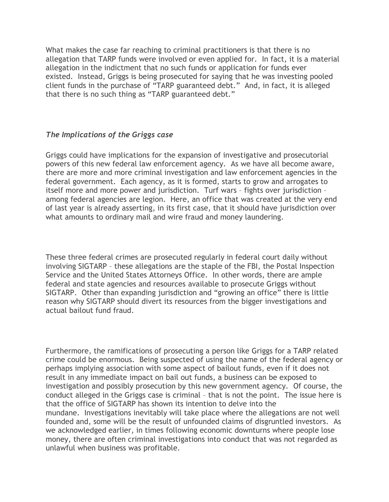What makes the case far reaching to criminal practitioners is that there is no allegation that TARP funds were involved or even applied for. In fact, it is a material allegation in the indictment that no such funds or application for funds ever existed. Instead, Griggs is being prosecuted for saying that he was investing pooled client funds in the purchase of "TARP guaranteed debt." And, in fact, it is alleged that there is no such thing as "TARP guaranteed debt."

## *The Implications of the Griggs case*

Griggs could have implications for the expansion of investigative and prosecutorial powers of this new federal law enforcement agency. As we have all become aware, there are more and more criminal investigation and law enforcement agencies in the federal government. Each agency, as it is formed, starts to grow and arrogates to itself more and more power and jurisdiction. Turf wars – fights over jurisdiction – among federal agencies are legion. Here, an office that was created at the very end of last year is already asserting, in its first case, that it should have jurisdiction over what amounts to ordinary mail and wire fraud and money laundering.

These three federal crimes are prosecuted regularly in federal court daily without involving SIGTARP – these allegations are the staple of the FBI, the Postal Inspection Service and the United States Attorneys Office. In other words, there are ample federal and state agencies and resources available to prosecute Griggs without SIGTARP. Other than expanding jurisdiction and "growing an office" there is little reason why SIGTARP should divert its resources from the bigger investigations and actual bailout fund fraud.

Furthermore, the ramifications of prosecuting a person like Griggs for a TARP related crime could be enormous. Being suspected of using the name of the federal agency or perhaps implying association with some aspect of bailout funds, even if it does not result in any immediate impact on bail out funds, a business can be exposed to investigation and possibly prosecution by this new government agency. Of course, the conduct alleged in the Griggs case is criminal – that is not the point. The issue here is that the office of SIGTARP has shown its intention to delve into the mundane. Investigations inevitably will take place where the allegations are not well founded and, some will be the result of unfounded claims of disgruntled investors. As we acknowledged earlier, in times following economic downturns where people lose money, there are often criminal investigations into conduct that was not regarded as unlawful when business was profitable.